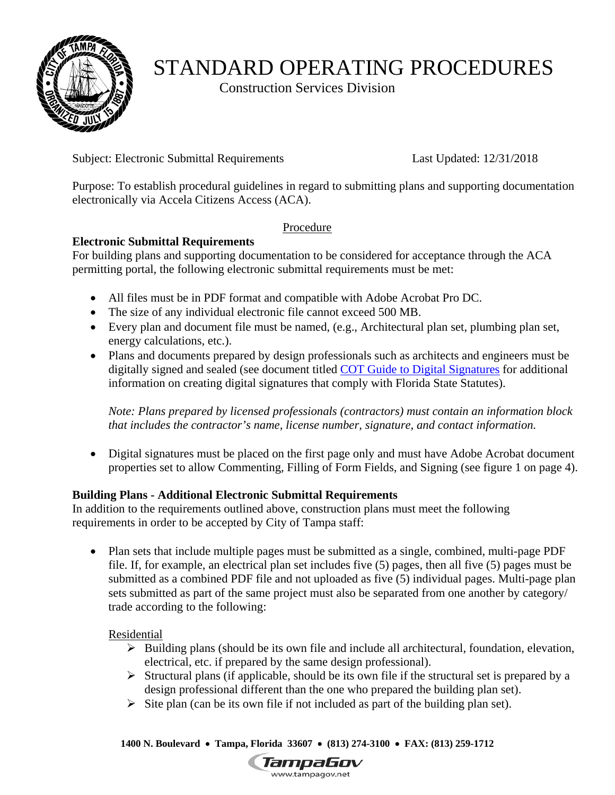

# STANDARD OPERATING PROCEDURES

Construction Services Division

Subject: Electronic Submittal Requirements Last Updated: 12/31/2018

Purpose: To establish procedural guidelines in regard to submitting plans and supporting documentation electronically via Accela Citizens Access (ACA).

# Procedure

# **Electronic Submittal Requirements**

For building plans and supporting documentation to be considered for acceptance through the ACA permitting portal, the following electronic submittal requirements must be met:

- All files must be in PDF format and compatible with Adobe Acrobat Pro DC.
- The size of any individual electronic file cannot exceed 500 MB.
- Every plan and document file must be named, (e.g., Architectural plan set, plumbing plan set, energy calculations, etc.).
- Plans and documents prepared by design professionals such as architects and engineers must be digitally signed and sealed (see document titled [COT Guide to Digital Signatures](https://www.tampagov.net/sites/default/files/public%3A/additionalfiles/sop_cot_guide_to_digital_signatures.pdf) for additional information on creating digital signatures that comply with Florida State Statutes).

*Note: Plans prepared by licensed professionals (contractors) must contain an information block that includes the contractor's name, license number, signature, and contact information.* 

 Digital signatures must be placed on the first page only and must have Adobe Acrobat document properties set to allow Commenting, Filling of Form Fields, and Signing (see figure 1 on page 4).

# **Building Plans - Additional Electronic Submittal Requirements**

In addition to the requirements outlined above, construction plans must meet the following requirements in order to be accepted by City of Tampa staff:

• Plan sets that include multiple pages must be submitted as a single, combined, multi-page PDF file. If, for example, an electrical plan set includes five (5) pages, then all five (5) pages must be submitted as a combined PDF file and not uploaded as five (5) individual pages. Multi-page plan sets submitted as part of the same project must also be separated from one another by category/ trade according to the following:

Residential

- $\triangleright$  Building plans (should be its own file and include all architectural, foundation, elevation, electrical, etc. if prepared by the same design professional).
- $\triangleright$  Structural plans (if applicable, should be its own file if the structural set is prepared by a design professional different than the one who prepared the building plan set).
- $\triangleright$  Site plan (can be its own file if not included as part of the building plan set).

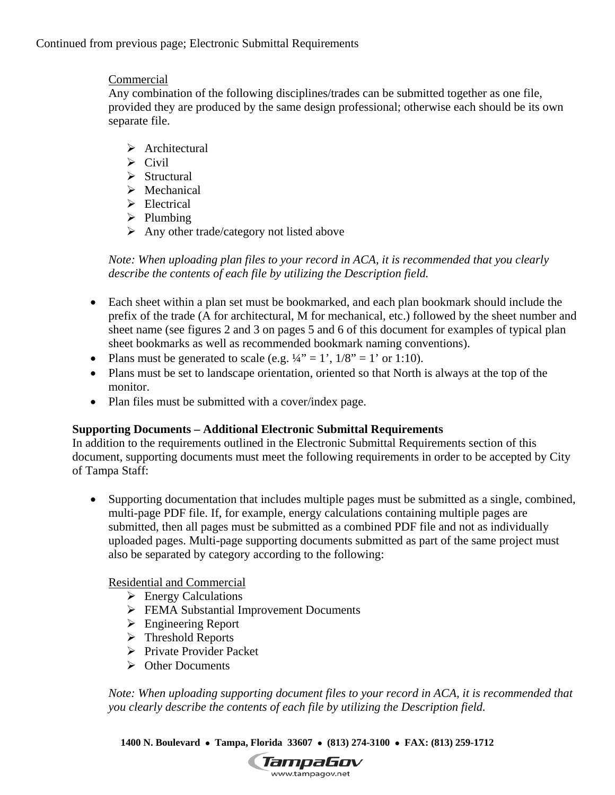Continued from previous page; Electronic Submittal Requirements

# Commercial

 separate file. Any combination of the following disciplines/trades can be submitted together as one file, provided they are produced by the same design professional; otherwise each should be its own

- > Architectural
- $\triangleright$  Civil
- $\triangleright$  Structural
- $\triangleright$  Mechanical
- $\triangleright$  Electrical
- $\triangleright$  Plumbing
- $\triangleright$  Any other trade/category not listed above

*Note: When uploading plan files to your record in ACA, it is recommended that you clearly describe the contents of each file by utilizing the Description field.* 

- Each sheet within a plan set must be bookmarked, and each plan bookmark should include the prefix of the trade (A for architectural, M for mechanical, etc.) followed by the sheet number and sheet name (see figures 2 and 3 on pages 5 and 6 of this document for examples of typical plan sheet bookmarks as well as recommended bookmark naming conventions).
- Plans must be generated to scale (e.g.  $\frac{1}{4}$ " = 1',  $\frac{1}{8}$ " = 1' or 1:10).
- Plans must be set to landscape orientation, oriented so that North is always at the top of the monitor.
- Plan files must be submitted with a cover/index page.

# **Supporting Documents – Additional Electronic Submittal Requirements**

In addition to the requirements outlined in the Electronic Submittal Requirements section of this document, supporting documents must meet the following requirements in order to be accepted by City of Tampa Staff:

• Supporting documentation that includes multiple pages must be submitted as a single, combined, multi-page PDF file. If, for example, energy calculations containing multiple pages are submitted, then all pages must be submitted as a combined PDF file and not as individually uploaded pages. Multi-page supporting documents submitted as part of the same project must also be separated by category according to the following:

# Residential and Commercial

- $\triangleright$  Energy Calculations
- FEMA Substantial Improvement Documents
- Engineering Report
- $\triangleright$  Threshold Reports
- $\triangleright$  Private Provider Packet
- **►** Other Documents

*Note: When uploading supporting document files to your record in ACA, it is recommended that you clearly describe the contents of each file by utilizing the Description field.* 

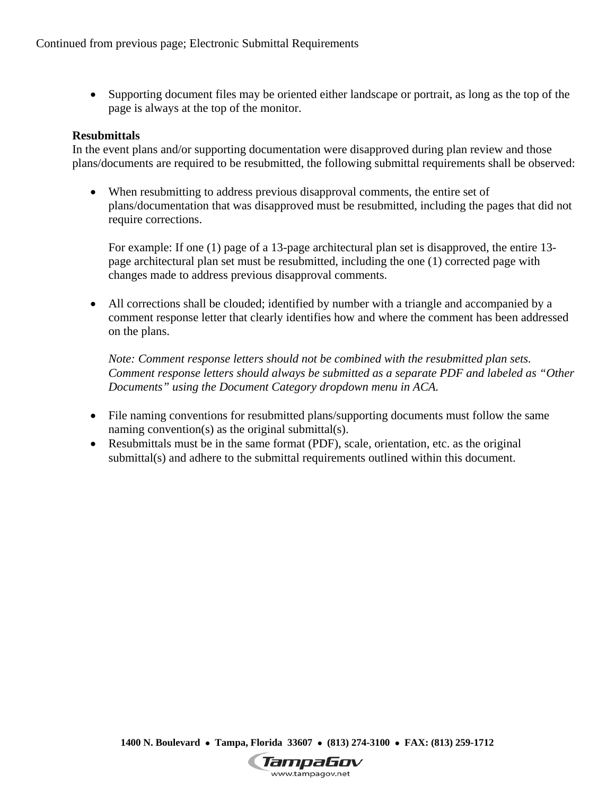Supporting document files may be oriented either landscape or portrait, as long as the top of the page is always at the top of the monitor.

### **Resubmittals**

In the event plans and/or supporting documentation were disapproved during plan review and those plans/documents are required to be resubmitted, the following submittal requirements shall be observed:

 When resubmitting to address previous disapproval comments, the entire set of plans/documentation that was disapproved must be resubmitted, including the pages that did not require corrections.

For example: If one (1) page of a 13-page architectural plan set is disapproved, the entire 13 page architectural plan set must be resubmitted, including the one (1) corrected page with changes made to address previous disapproval comments.

 All corrections shall be clouded; identified by number with a triangle and accompanied by a comment response letter that clearly identifies how and where the comment has been addressed on the plans.

*Note: Comment response letters should not be combined with the resubmitted plan sets. Comment response letters should always be submitted as a separate PDF and labeled as "Other Documents" using the Document Category dropdown menu in ACA.* 

- File naming conventions for resubmitted plans/supporting documents must follow the same naming convention(s) as the original submittal(s).
- Resubmittals must be in the same format (PDF), scale, orientation, etc. as the original submittal(s) and adhere to the submittal requirements outlined within this document.

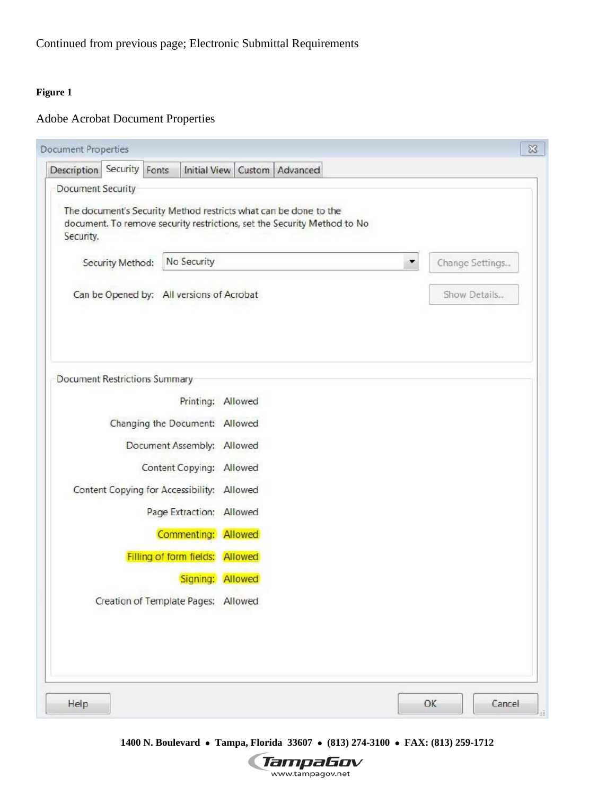### **Figure 1**

# Adobe Acrobat Document Properties

| Description Security Fonts                 | Initial View Custom   Advanced                                                                                                               |                      |
|--------------------------------------------|----------------------------------------------------------------------------------------------------------------------------------------------|----------------------|
| Document Security                          |                                                                                                                                              |                      |
| Security.                                  | The document's Security Method restricts what can be done to the<br>document. To remove security restrictions, set the Security Method to No |                      |
| Security Method:                           | No Security                                                                                                                                  | Change Settings<br>▼ |
| Can be Opened by: All versions of Acrobat  |                                                                                                                                              | Show Details         |
| Document Restrictions Summary              |                                                                                                                                              |                      |
|                                            | Printing: Allowed                                                                                                                            |                      |
|                                            | Changing the Document: Allowed                                                                                                               |                      |
|                                            | Document Assembly: Allowed                                                                                                                   |                      |
|                                            | Content Copying: Allowed                                                                                                                     |                      |
| Content Copying for Accessibility: Allowed |                                                                                                                                              |                      |
|                                            | Page Extraction: Allowed                                                                                                                     |                      |
|                                            | Commenting: Allowed                                                                                                                          |                      |
|                                            | Filling of form fields: Allowed                                                                                                              |                      |
|                                            | Signing: Allowed                                                                                                                             |                      |
|                                            | Creation of Template Pages: Allowed                                                                                                          |                      |
|                                            |                                                                                                                                              |                      |
|                                            |                                                                                                                                              |                      |

 **1400 N. Boulevard Tampa, Florida 33607 (813) 274-3100 FAX: (813) 259-1712** 

**TampaGov**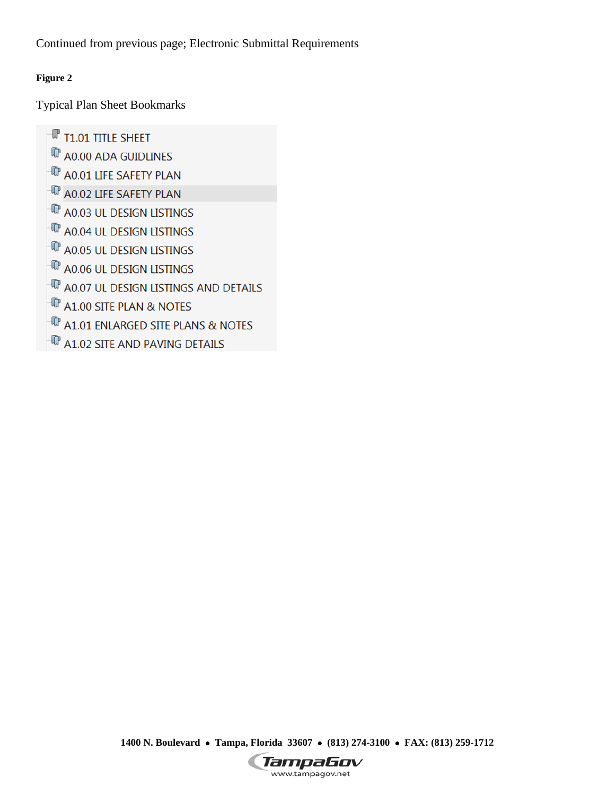Continued from previous page; Electronic Submittal Requirements

### **Figure 2**

Typical Plan Sheet Bookmarks

 $\mathbb {P}$  T1.01 TITLE SHEET  $\overline{\mathbb{Q}}$  a0.00 ada guidlines  $\mathbb{P}$  a0.01 life safety plan <sup>In</sup> A0.02 LIFE SAFETY PLAN  $\overline{\mathbb{P}}$  a0.03 ul design listings <sup>T</sup> A0.04 UL DESIGN LISTINGS  $\overline{\mathbb{P}}$  a0.05 ul design listings  $\overline{\mathbb{P}}$  a0.06 UL design listings 1 A0.07 UL DESIGN LISTINGS AND DETAILS  $\overline{\mathbb{Q}}$  a1.00 site plan & notes <sup>T</sup> A1.01 ENLARGED SITE PLANS & NOTES  $\overline{\mathbb{P}}$  a1.02 site and paving details